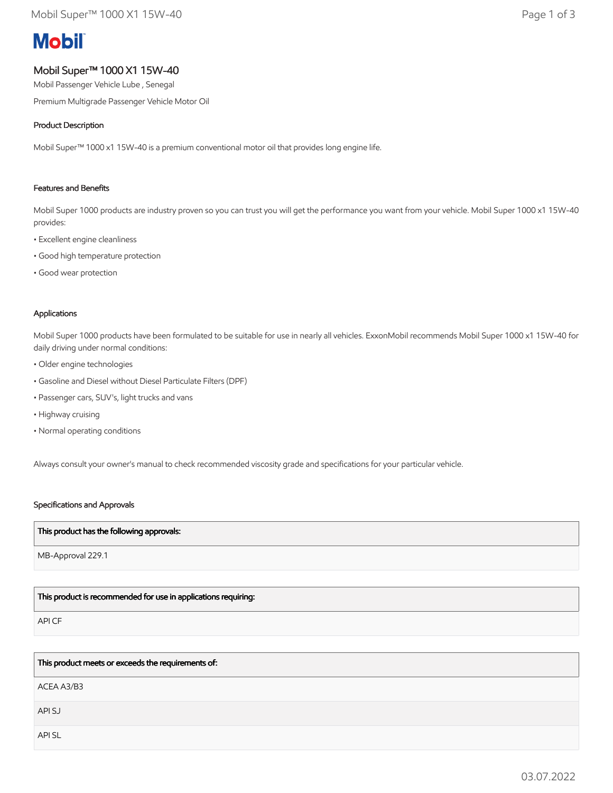# **Mobil**

# Mobil Super™ 1000 X1 15W-40

Mobil Passenger Vehicle Lube , Senegal

Premium Multigrade Passenger Vehicle Motor Oil

## Product Description

Mobil Super™ 1000 x1 15W-40 is a premium conventional motor oil that provides long engine life.

#### Features and Benefits

Mobil Super 1000 products are industry proven so you can trust you will get the performance you want from your vehicle. Mobil Super 1000 x1 15W-40 provides:

- Excellent engine cleanliness
- Good high temperature protection
- Good wear protection

## Applications

Mobil Super 1000 products have been formulated to be suitable for use in nearly all vehicles. ExxonMobil recommends Mobil Super 1000 x1 15W-40 for daily driving under normal conditions:

- Older engine technologies
- Gasoline and Diesel without Diesel Particulate Filters (DPF)
- Passenger cars, SUV's, light trucks and vans
- Highway cruising
- Normal operating conditions

Always consult your owner's manual to check recommended viscosity grade and specifications for your particular vehicle.

#### Specifications and Approvals

#### This product has the following approvals:

MB-Approval 229.1

# This product is recommended for use in applications requiring:

API CF

This product meets or exceeds the requirements of:

ACEA A3/B3

API SJ

API SL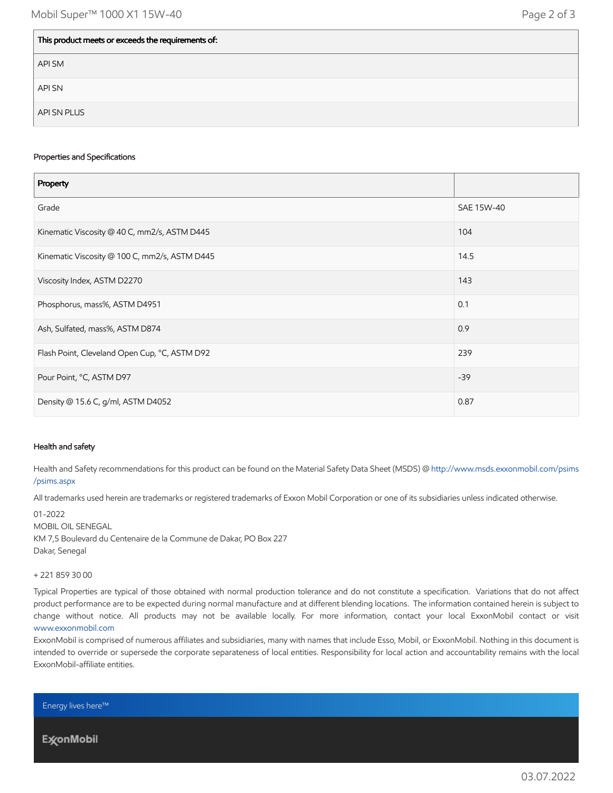| This product meets or exceeds the requirements of: |  |
|----------------------------------------------------|--|
| API SM                                             |  |
| <b>API SN</b>                                      |  |
| API SN PLUS                                        |  |

#### Properties and Specifications

| Property                                      |            |
|-----------------------------------------------|------------|
| Grade                                         | SAE 15W-40 |
| Kinematic Viscosity @ 40 C, mm2/s, ASTM D445  | 104        |
| Kinematic Viscosity @ 100 C, mm2/s, ASTM D445 | 14.5       |
| Viscosity Index, ASTM D2270                   | 143        |
| Phosphorus, mass%, ASTM D4951                 | 0.1        |
| Ash, Sulfated, mass%, ASTM D874               | 0.9        |
| Flash Point, Cleveland Open Cup, °C, ASTM D92 | 239        |
| Pour Point, °C, ASTM D97                      | $-39$      |
| Density @ 15.6 C, g/ml, ASTM D4052            | 0.87       |

#### Health and safety

Health and Safety recommendations for this product can be found on the Material Safety Data Sheet (MSDS) @ [http://www.msds.exxonmobil.com/psims](http://www.msds.exxonmobil.com/psims/psims.aspx) /psims.aspx

All trademarks used herein are trademarks or registered trademarks of Exxon Mobil Corporation or one of its subsidiaries unless indicated otherwise.

01-2022 MOBIL OIL SENEGAL KM 7,5 Boulevard du Centenaire de la Commune de Dakar, PO Box 227 Dakar, Senegal

#### + 221 859 30 00

Typical Properties are typical of those obtained with normal production tolerance and do not constitute a specification. Variations that do not affect product performance are to be expected during normal manufacture and at different blending locations. The information contained herein is subject to change without notice. All products may not be available locally. For more information, contact your local ExxonMobil contact or visit [www.exxonmobil.com](http://www.exxonmobil.com/)

ExxonMobil is comprised of numerous affiliates and subsidiaries, many with names that include Esso, Mobil, or ExxonMobil. Nothing in this document is intended to override or supersede the corporate separateness of local entities. Responsibility for local action and accountability remains with the local ExxonMobil-affiliate entities.

Energy lives here™

**ExconMobil**